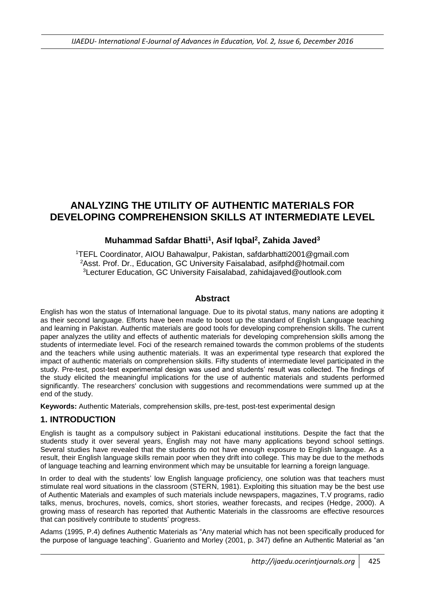# **ANALYZING THE UTILITY OF AUTHENTIC MATERIALS FOR DEVELOPING COMPREHENSION SKILLS AT INTERMEDIATE LEVEL**

## **Muhammad Safdar Bhatti<sup>1</sup> , Asif Iqbal<sup>2</sup> , Zahida Javed<sup>3</sup>**

<sup>1</sup>TEFL Coordinator, AIOU Bahawalpur, Pakistan, safdarbhatti2001@gmail.com <sup>2</sup>Asst. Prof. Dr., Education, GC University Faisalabad, asifphd@hotmail.com <sup>3</sup>Lecturer Education, GC University Faisalabad, zahidajaved@outlook.com

## **Abstract**

English has won the status of International language. Due to its pivotal status, many nations are adopting it as their second language. Efforts have been made to boost up the standard of English Language teaching and learning in Pakistan. Authentic materials are good tools for developing comprehension skills. The current paper analyzes the utility and effects of authentic materials for developing comprehension skills among the students of intermediate level. Foci of the research remained towards the common problems of the students and the teachers while using authentic materials. It was an experimental type research that explored the impact of authentic materials on comprehension skills. Fifty students of intermediate level participated in the study. Pre-test, post-test experimental design was used and students' result was collected. The findings of the study elicited the meaningful implications for the use of authentic materials and students performed significantly. The researchers' conclusion with suggestions and recommendations were summed up at the end of the study.

**Keywords:** Authentic Materials, comprehension skills, pre-test, post-test experimental design

## **1. INTRODUCTION**

English is taught as a compulsory subject in Pakistani educational institutions. Despite the fact that the students study it over several years, English may not have many applications beyond school settings. Several studies have revealed that the students do not have enough exposure to English language. As a result, their English language skills remain poor when they drift into college. This may be due to the methods of language teaching and learning environment which may be unsuitable for learning a foreign language.

In order to deal with the students' low English language proficiency, one solution was that teachers must stimulate real word situations in the classroom (STERN, 1981). Exploiting this situation may be the best use of Authentic Materials and examples of such materials include newspapers, magazines, T.V programs, radio talks, menus, brochures, novels, comics, short stories, weather forecasts, and recipes (Hedge, 2000). A growing mass of research has reported that Authentic Materials in the classrooms are effective resources that can positively contribute to students' progress.

Adams (1995, P.4) defines Authentic Materials as "Any material which has not been specifically produced for the purpose of language teaching". Guariento and Morley (2001, p. 347) define an Authentic Material as "an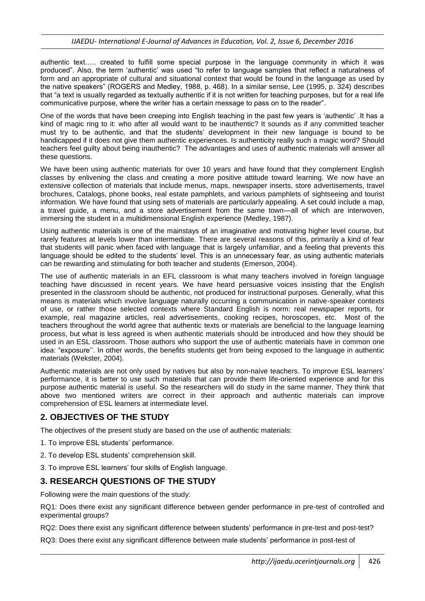authentic text….. created to fulfill some special purpose in the language community in which it was produced". Also, the term 'authentic' was used "to refer to language samples that reflect a naturalness of form and an appropriate of cultural and situational context that would be found in the language as used by the native speakers" (ROGERS and Medley, 1988, p. 468). In a similar sense, Lee (1995, p. 324) describes that "a text is usually regarded as textually authentic if it is not written for teaching purposes, but for a real life communicative purpose, where the writer has a certain message to pass on to the reader".

One of the words that have been creeping into English teaching in the past few years is 'authentic' .It has a kind of magic ring to it: who after all would want to be inauthentic? It sounds as if any committed teacher must try to be authentic, and that the students' development in their new language is bound to be handicapped if it does not give them authentic experiences. Is authenticity really such a magic word? Should teachers feel guilty about being inauthentic? The advantages and uses of authentic materials will answer all these questions.

We have been using authentic materials for over 10 years and have found that they complement English classes by enlivening the class and creating a more positive attitude toward learning. We now have an extensive collection of materials that include menus, maps, newspaper inserts, store advertisements, travel brochures, Catalogs, phone books, real estate pamphlets, and various pamphlets of sightseeing and tourist information. We have found that using sets of materials are particularly appealing. A set could include a map, a travel guide, a menu, and a store advertisement from the same town—all of which are interwoven, immersing the student in a multidimensional English experience (Medley, 1987).

Using authentic materials is one of the mainstays of an imaginative and motivating higher level course, but rarely features at levels lower than intermediate. There are several reasons of this, primarily a kind of fear that students will panic when faced with language that is largely unfamiliar, and a feeling that prevents this language should be edited to the students' level. This is an unnecessary fear, as using authentic materials can be rewarding and stimulating for both teacher and students (Emerson, 2004).

The use of authentic materials in an EFL classroom is what many teachers involved in foreign language teaching have discussed in recent years. We have heard persuasive voices insisting that the English presented in the classroom should be authentic, not produced for instructional purposes. Generally, what this means is materials which involve language naturally occurring a communication in native-speaker contexts of use, or rather those selected contexts where Standard English is norm: real newspaper reports, for example, real magazine articles, real advertisements, cooking recipes, horoscopes, etc. Most of the teachers throughout the world agree that authentic texts or materials are beneficial to the language learning process, but what is less agreed is when authentic materials should be introduced and how they should be used in an ESL classroom. Those authors who support the use of authentic materials have in common one idea: "exposure''. In other words, the benefits students get from being exposed to the language in authentic materials (Wekster, 2004).

Authentic materials are not only used by natives but also by non-naive teachers. To improve ESL learners' performance, it is better to use such materials that can provide them life-oriented experience and for this purpose authentic material is useful. So the researchers will do study in the same manner. They think that above two mentioned writers are correct in their approach and authentic materials can improve comprehension of ESL learners at intermediate level.

## **2. OBJECTIVES OF THE STUDY**

The objectives of the present study are based on the use of authentic materials:

- 1. To improve ESL students' performance.
- 2. To develop ESL students' comprehension skill.
- 3. To improve ESL learners' four skills of English language.

## **3. RESEARCH QUESTIONS OF THE STUDY**

Following were the main questions of the study:

RQ1: Does there exist any significant difference between gender performance in pre-test of controlled and experimental groups?

RQ2: Does there exist any significant difference between students' performance in pre-test and post-test?

RQ3: Does there exist any significant difference between male students' performance in post-test of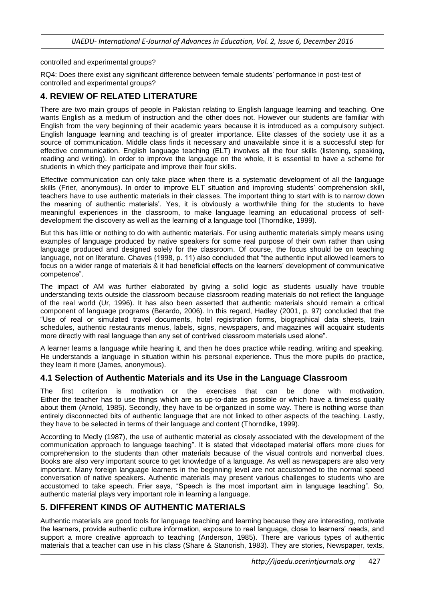controlled and experimental groups?

RQ4: Does there exist any significant difference between female students' performance in post-test of controlled and experimental groups?

## **4. REVIEW OF RELATED LITERATURE**

There are two main groups of people in Pakistan relating to English language learning and teaching. One wants English as a medium of instruction and the other does not. However our students are familiar with English from the very beginning of their academic years because it is introduced as a compulsory subject. English language learning and teaching is of greater importance. Elite classes of the society use it as a source of communication. Middle class finds it necessary and unavailable since it is a successful step for effective communication. English language teaching (ELT) involves all the four skills (listening, speaking, reading and writing). In order to improve the language on the whole, it is essential to have a scheme for students in which they participate and improve their four skills.

Effective communication can only take place when there is a systematic development of all the language skills (Frier, anonymous). In order to improve ELT situation and improving students' comprehension skill, teachers have to use authentic materials in their classes. The important thing to start with is to narrow down the meaning of authentic materials'. Yes, it is obviously a worthwhile thing for the students to have meaningful experiences in the classroom, to make language learning an educational process of selfdevelopment the discovery as well as the learning of a language tool (Thorndike, 1999).

But this has little or nothing to do with authentic materials. For using authentic materials simply means using examples of language produced by native speakers for some real purpose of their own rather than using language produced and designed solely for the classroom. Of course, the focus should be on teaching language, not on literature. Chaves (1998, p. 11) also concluded that "the authentic input allowed learners to focus on a wider range of materials & it had beneficial effects on the learners' development of communicative competence".

The impact of AM was further elaborated by giving a solid logic as students usually have trouble understanding texts outside the classroom because classroom reading materials do not reflect the language of the real world (Ur, 1996). It has also been asserted that authentic materials should remain a critical component of language programs (Berardo, 2006). In this regard, Hadley (2001, p. 97) concluded that the "Use of real or simulated travel documents, hotel registration forms, biographical data sheets, train schedules, authentic restaurants menus, labels, signs, newspapers, and magazines will acquaint students more directly with real language than any set of contrived classroom materials used alone".

A learner learns a language while hearing it, and then he does practice while reading, writing and speaking. He understands a language in situation within his personal experience. Thus the more pupils do practice, they learn it more (James, anonymous).

#### **4.1 Selection of Authentic Materials and its Use in the Language Classroom**

The first criterion is motivation or the exercises that can be done with motivation. Either the teacher has to use things which are as up-to-date as possible or which have a timeless quality about them (Arnold, 1985). Secondly, they have to be organized in some way. There is nothing worse than entirely disconnected bits of authentic language that are not linked to other aspects of the teaching. Lastly, they have to be selected in terms of their language and content (Thorndike, 1999).

According to Medly (1987), the use of authentic material as closely associated with the development of the communication approach to language teaching". It is stated that videotaped material offers more clues for comprehension to the students than other materials because of the visual controls and nonverbal clues. Books are also very important source to get knowledge of a language. As well as newspapers are also very important. Many foreign language learners in the beginning level are not accustomed to the normal speed conversation of native speakers. Authentic materials may present various challenges to students who are accustomed to take speech. Frier says, "Speech is the most important aim in language teaching". So, authentic material plays very important role in learning a language.

## **5. DIFFERENT KINDS OF AUTHENTIC MATERIALS**

Authentic materials are good tools for language teaching and learning because they are interesting, motivate the learners, provide authentic culture information, exposure to real language, close to learners' needs, and support a more creative approach to teaching (Anderson, 1985). There are various types of authentic materials that a teacher can use in his class (Share & Stanorish, 1983). They are stories, Newspaper, texts,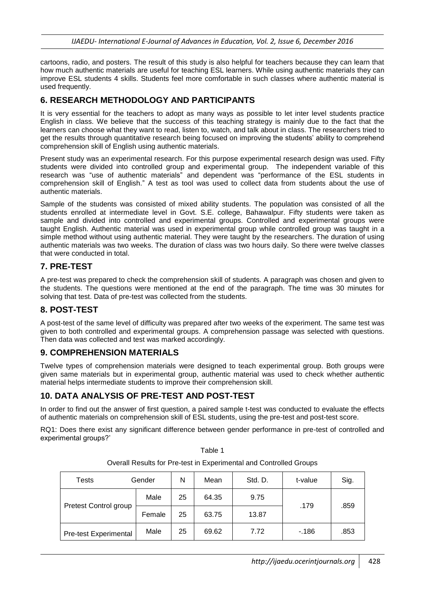cartoons, radio, and posters. The result of this study is also helpful for teachers because they can learn that how much authentic materials are useful for teaching ESL learners. While using authentic materials they can improve ESL students 4 skills. Students feel more comfortable in such classes where authentic material is used frequently.

## **6. RESEARCH METHODOLOGY AND PARTICIPANTS**

It is very essential for the teachers to adopt as many ways as possible to let inter level students practice English in class. We believe that the success of this teaching strategy is mainly due to the fact that the learners can choose what they want to read, listen to, watch, and talk about in class. The researchers tried to get the results through quantitative research being focused on improving the students' ability to comprehend comprehension skill of English using authentic materials.

Present study was an experimental research. For this purpose experimental research design was used. Fifty students were divided into controlled group and experimental group. The independent variable of this research was "use of authentic materials" and dependent was "performance of the ESL students in comprehension skill of English." A test as tool was used to collect data from students about the use of authentic materials.

Sample of the students was consisted of mixed ability students. The population was consisted of all the students enrolled at intermediate level in Govt. S.E. college, Bahawalpur. Fifty students were taken as sample and divided into controlled and experimental groups. Controlled and experimental groups were taught English. Authentic material was used in experimental group while controlled group was taught in a simple method without using authentic material. They were taught by the researchers. The duration of using authentic materials was two weeks. The duration of class was two hours daily. So there were twelve classes that were conducted in total.

## **7. PRE-TEST**

A pre-test was prepared to check the comprehension skill of students. A paragraph was chosen and given to the students. The questions were mentioned at the end of the paragraph. The time was 30 minutes for solving that test. Data of pre-test was collected from the students.

## **8. POST-TEST**

A post-test of the same level of difficulty was prepared after two weeks of the experiment. The same test was given to both controlled and experimental groups. A comprehension passage was selected with questions. Then data was collected and test was marked accordingly.

## **9. COMPREHENSION MATERIALS**

Twelve types of comprehension materials were designed to teach experimental group. Both groups were given same materials but in experimental group, authentic material was used to check whether authentic material helps intermediate students to improve their comprehension skill.

## **10. DATA ANALYSIS OF PRE-TEST AND POST-TEST**

In order to find out the answer of first question, a paired sample t-test was conducted to evaluate the effects of authentic materials on comprehension skill of ESL students, using the pre-test and post-test score.

RQ1: Does there exist any significant difference between gender performance in pre-test of controlled and experimental groups?'

| Tests                        | Gender | N  | Mean  | Std. D. | t-value | Sig. |
|------------------------------|--------|----|-------|---------|---------|------|
|                              | Male   | 25 | 64.35 | 9.75    |         |      |
| Pretest Control group        | Female | 25 | 63.75 | 13.87   | .179    | .859 |
| <b>Pre-test Experimental</b> | Male   | 25 | 69.62 | 7.72    | $-186$  | .853 |

Table 1 Overall Results for Pre-test in Experimental and Controlled Groups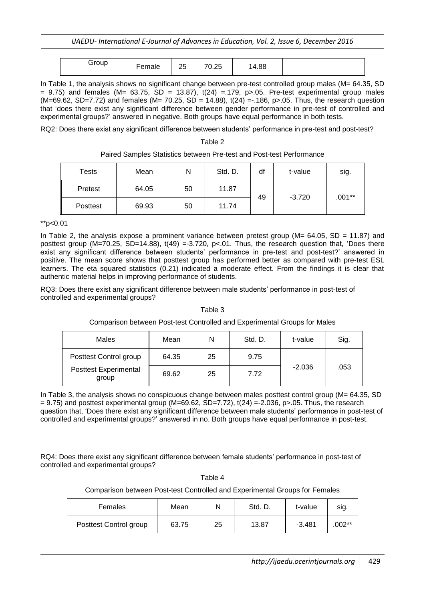| Group |        |                    |                       |      |  |
|-------|--------|--------------------|-----------------------|------|--|
|       | Female | $\sim$<br>יי<br>∠◡ | <b>70.25</b><br>⊺∪.∠ວ | 4.88 |  |
|       |        |                    |                       |      |  |

In Table 1, the analysis shows no significant change between pre-test controlled group males (M= 64.35, SD)  $= 9.75$ ) and females (M= 63.75, SD = 13.87), t(24) = 179, p > 05. Pre-test experimental group males  $(M=69.62, SD=7.72)$  and females  $(M= 70.25, SD = 14.88)$ ,  $t(24) = -186$ , p>.05. Thus, the research question that 'does there exist any significant difference between gender performance in pre-test of controlled and experimental groups?' answered in negative. Both groups have equal performance in both tests.

RQ2: Does there exist any significant difference between students' performance in pre-test and post-test?

Table 2

Paired Samples Statistics between Pre-test and Post-test Performance

| <b>Tests</b> | Mean  | N  | Std. D. | df | t-value  | sig.     |
|--------------|-------|----|---------|----|----------|----------|
| Pretest      | 64.05 | 50 | 11.87   | 49 | $-3.720$ | $.001**$ |
| Posttest     | 69.93 | 50 | 11.74   |    |          |          |

\*\*p<0.01

In Table 2, the analysis expose a prominent variance between pretest group ( $M = 64.05$ , SD = 11.87) and posttest group (M=70.25, SD=14.88), t(49) =-3.720, p<.01. Thus, the research question that, 'Does there exist any significant difference between students' performance in pre-test and post-test?' answered in positive. The mean score shows that posttest group has performed better as compared with pre-test ESL learners. The eta squared statistics (0.21) indicated a moderate effect. From the findings it is clear that authentic material helps in improving performance of students.

RQ3: Does there exist any significant difference between male students' performance in post-test of controlled and experimental groups?

## Table 3

Comparison between Post-test Controlled and Experimental Groups for Males

| Males                                 | Mean  | N  | Std. D. | t-value  | Sig. |
|---------------------------------------|-------|----|---------|----------|------|
| Posttest Control group                | 64.35 | 25 | 9.75    | $-2.036$ | .053 |
| <b>Posttest Experimental</b><br>group | 69.62 | 25 | 7.72    |          |      |

In Table 3, the analysis shows no conspicuous change between males posttest control group (M= 64.35, SD)  $= 9.75$ ) and posttest experimental group (M=69.62, SD=7.72), t(24) =-2.036, p>.05. Thus, the research question that, 'Does there exist any significant difference between male students' performance in post-test of controlled and experimental groups?' answered in no. Both groups have equal performance in post-test.

RQ4: Does there exist any significant difference between female students' performance in post-test of controlled and experimental groups?

#### Table 4

Comparison between Post-test Controlled and Experimental Groups for Females

| Females                | Mean  | N  | Std. D. | t-value  | sıg.   |
|------------------------|-------|----|---------|----------|--------|
| Posttest Control group | 63.75 | 25 | 13.87   | $-3.481$ | .002** |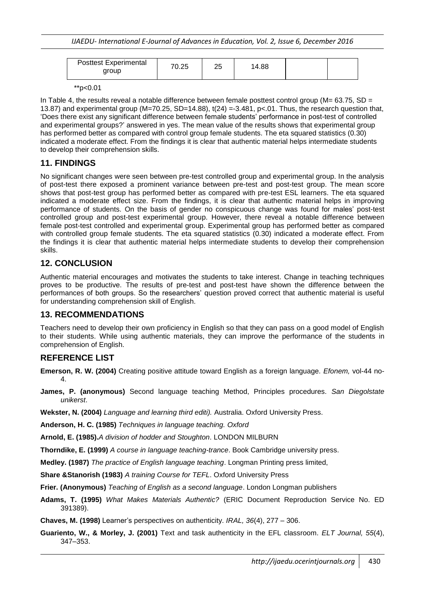| <b>Posttest Experimental</b><br>aroup | 70.25 | $\sim$ $\sim$<br>້ | 14.88 |  |  |
|---------------------------------------|-------|--------------------|-------|--|--|
|---------------------------------------|-------|--------------------|-------|--|--|

\*\*p<0.01

In Table 4, the results reveal a notable difference between female posttest control group ( $M= 63.75$ , SD = 13.87) and experimental group (M=70.25, SD=14.88), t(24) =-3.481, p<.01. Thus, the research question that, 'Does there exist any significant difference between female students' performance in post-test of controlled and experimental groups?' answered in yes. The mean value of the results shows that experimental group has performed better as compared with control group female students. The eta squared statistics (0.30) indicated a moderate effect. From the findings it is clear that authentic material helps intermediate students to develop their comprehension skills.

## **11. FINDINGS**

No significant changes were seen between pre-test controlled group and experimental group. In the analysis of post-test there exposed a prominent variance between pre-test and post-test group. The mean score shows that post-test group has performed better as compared with pre-test ESL learners. The eta squared indicated a moderate effect size. From the findings, it is clear that authentic material helps in improving performance of students. On the basis of gender no conspicuous change was found for males' post-test controlled group and post-test experimental group. However, there reveal a notable difference between female post-test controlled and experimental group. Experimental group has performed better as compared with controlled group female students. The eta squared statistics (0.30) indicated a moderate effect. From the findings it is clear that authentic material helps intermediate students to develop their comprehension skills.

## **12. CONCLUSION**

Authentic material encourages and motivates the students to take interest. Change in teaching techniques proves to be productive. The results of pre-test and post-test have shown the difference between the performances of both groups. So the researchers' question proved correct that authentic material is useful for understanding comprehension skill of English.

## **13. RECOMMENDATIONS**

Teachers need to develop their own proficiency in English so that they can pass on a good model of English to their students. While using authentic materials, they can improve the performance of the students in comprehension of English.

## **REFERENCE LIST**

- **Emerson, R. W. (2004)** Creating positive attitude toward English as a foreign language. *Efonem,* vol-44 no-4.
- **James, P. (anonymous)** Second language teaching Method, Principles procedures. *San Diegolstate unikerst*.
- **Wekster, N. (2004)** *Language and learning third editi).* Australia. Oxford University Press.

**Anderson, H. C. (1985)** *Techniques in language teaching. Oxford*

**Arnold, E. (1985).***A division of hodder and Stoughton*. LONDON MILBURN

**Thorndike, E. (1999)** *A course in language teaching-trance*. Book Cambridge university press.

**Medley. (1987)** *The practice of English language teaching*. Longman Printing press limited,

**Share &Stanorish (1983)** *A training Course for TEFL*. Oxford University Press

**Frier. (Anonymous)** *Teaching of English as a second language*. London Longman publishers

**Adams, T. (1995)** *What Makes Materials Authentic?* (ERIC Document Reproduction Service No. ED 391389).

**Chaves, M. (1998)** Learner's perspectives on authenticity. *IRAL, 36*(4), 277 – 306.

**Guariento, W., & Morley, J. (2001)** Text and task authenticity in the EFL classroom. *ELT Journal, 55*(4), 347–353.